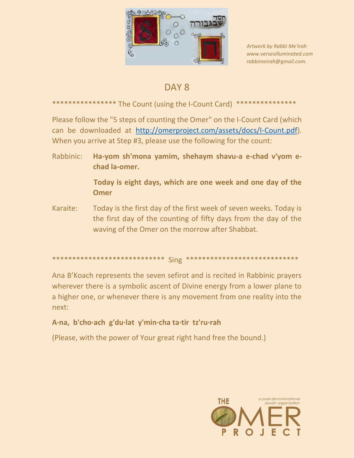

Artwork by Rabbi Me'irah www.versesilluminated.com rabbimeirah@qmail.com.

# DAY<sub>8</sub>

## \*\*\*\*\*\*\*\*\*\*\*\*\*\*\*\*\* The Count (using the I-Count Card) \*\*\*\*\*\*\*\*\*\*\*\*\*\*\*

Please follow the "5 steps of counting the Omer" on the I-Count Card (which can be downloaded at http://omerproject.com/assets/docs/I-Count.pdf). When you arrive at Step #3, please use the following for the count:

Rabbinic: Ha-yom sh'mona yamim, shehaym shavu-a e-chad v'yom echad la-omer.

> Today is eight days, which are one week and one day of the **Omer**

Karaite: Today is the first day of the first week of seven weeks. Today is the first day of the counting of fifty days from the day of the waving of the Omer on the morrow after Shabbat.

#### 

Ana B'Koach represents the seven sefirot and is recited in Rabbinic prayers wherever there is a symbolic ascent of Divine energy from a lower plane to a higher one, or whenever there is any movement from one reality into the next:

### A·na, b'cho·ach g'du·lat y'min·cha ta·tir tz'ru·rah

(Please, with the power of Your great right hand free the bound.)

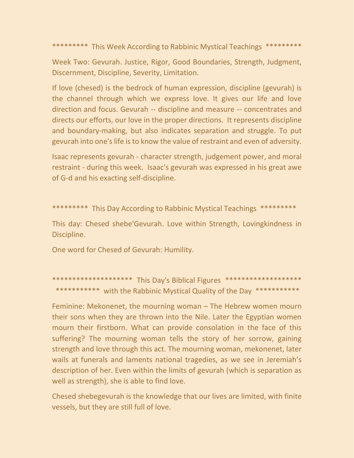\*\*\*\*\*\*\*\*\* This Week According to Rabbinic Mystical Teachings \*\*\*\*\*\*\*\*\*

Week Two: Gevurah. Justice, Rigor, Good Boundaries, Strength, Judgment, Discernment, Discipline, Severity, Limitation.

If love (chesed) is the bedrock of human expression, discipline (gevurah) is the channel through which we express love. It gives our life and love direction and focus. Gevurah -- discipline and measure -- concentrates and directs our efforts, our love in the proper directions. It represents discipline and boundary-making, but also indicates separation and struggle. To put gevurah into one's life is to know the value of restraint and even of adversity.

Isaac represents gevurah - character strength, judgement power, and moral restraint - during this week. Isaac's gevurah was expressed in his great awe of G‑d and his exacting self-discipline.

\*\*\*\*\*\*\*\*\* This Day According to Rabbinic Mystical Teachings \*\*\*\*\*\*\*\*\*

This day: Chesed shebe'Gevurah. Love within Strength, Lovingkindness in Discipline.

One word for Chesed of Gevurah: Humility.

\*\*\*\*\*\*\*\*\*\*\*\*\*\*\*\*\*\*\*\*\* This Day's Biblical Figures \*\*\*\*\*\*\*\*\*\*\*\*\*\*\*\*\*\*\*\* \*\*\*\*\*\*\*\*\*\*\* with the Rabbinic Mystical Quality of the Day \*\*\*\*\*\*\*\*\*\*\*

Feminine: Mekonenet, the mourning woman – The Hebrew women mourn their sons when they are thrown into the Nile. Later the Egyptian women mourn their firstborn. What can provide consolation in the face of this suffering? The mourning woman tells the story of her sorrow, gaining strength and love through this act. The mourning woman, mekonenet, later wails at funerals and laments national tragedies, as we see in Jeremiah's description of her. Even within the limits of gevurah (which is separation as well as strength), she is able to find love.

Chesed shebegevurah is the knowledge that our lives are limited, with finite vessels, but they are still full of love.